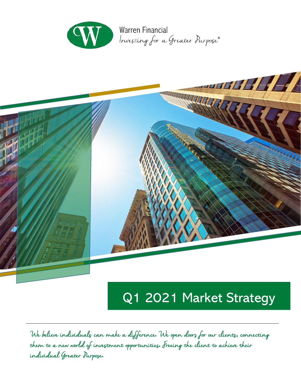



# Q1 2021 Market Strategy

We believe individuals can make a difference**.** We open doors for our clients**,** connecting them to a new world of investment opportunities**.** Freeing the client to achieve their individual Greater Purpose**.**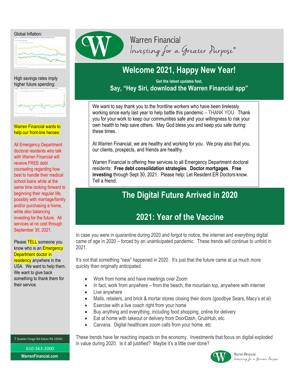

### High savings rates imply higher future spending:



Warren Financial wants to help our front-line heroes:

 All Emergency Department doctoral residents who talk with Warren Financial will receive FREE debt counseling regarding how best to handle their medical school loans while at the same time looking forward to beginning their regular life, possibly with marriage/family and/or purchasing a home, while also balancing investing for the future. All services at no cost through September 30, 2021.

 their service. Please TELL someone you know who is an **Emergency** Department doctor in residency anywhere in the USA. We want to help them. We want to give back something to thank them for

# **Warren Financial** Investing for a Greater Purpose®

# **Welcome 2021, Happy New Year!**

## **Get the latest updates fast, Say, "Hey Siri, download the Warren Financial app"**

We want to say thank you to the frontline workers who have been tirelessly working since early last year to help battle this pandemic – THANK YOU. Thank you for your work to keep our communities safe and your willingness to risk your own health to help save others. May God bless you and keep you safe during these times.

At Warren Financial, we are healthy and working for you. We pray also that you, our clients, prospects, and friends are healthy.

Warren Financial is offering free services to all Emergency Department doctoral residents: **Free debt consolidation strategies**. **Doctor mortgages**. **Free investing** through Sept 30, 2021. Please help: Let Resident ER Doctors know. Tell a friend.

# **The Digital Future Arrived in 2020**

# **2021: Year of the Vaccine**

In case you were in quarantine during 2020 and forgot to notice, the internet and everything digital came of age in 2020 – forced by an unanticipated pandemic. These trends will continue to unfold in 2021.

It's not that something "new" happened in 2020. It's just that the future came at us much more quickly than originally anticipated.

- Work from home and have meetings over Zoom
- In fact, work from anywhere from the beach, the mountain top, anywhere with internet
- Live anywhere
- Malls, retailers, and brick & mortar stores closing their doors (goodbye Sears, Macy's et al)
- Exercise with a live coach right from your home
- Buy anything and everything, including food shopping, online for delivery
- Eat at home with takeout or delivery from DoorDash, GrubHub, etc.
- Carvana. Digital healthcare zoom calls from your home. etc

These trends have far reaching impacts on the economy. Investments that focus on digital exploded in value during 2020. Is it all justified? Maybe it's a little over done?



Warren Financial Investing for a Greater Purpose

7 Dowlin Forge Rd Exton PA 19341

610-363-2000 **WarrenFinancial.com**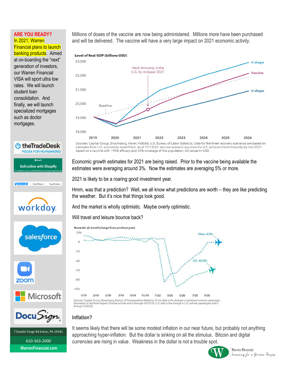## **ARE YOU READY?** In 2021, Warren

Financial plans to launch banking products. Aimed at on-boarding the "next" generation of investors, our Warren Financial VISA will sport ultra low rates. We will launch student loan consolidation. And finally, we will launch specialized mortgages such as doctor mortgages.

*<u>U</u>* the Trade Desk

**Sell online with Shopify** 0000 husin

Sand & Receive V

workday.

salesforce

Pay with Venmo

venmo

**zoom** 

**MEDIA FOR HUMANKIND** 

Millions of doses of the vaccine are now being administered. Millions more have been purchased and will be delivered. The vaccine will have a very large impact on 2021 economic activity.



estimates from U.S. economist Jared Franz, as of 11/13/20. Vaccine scenario assumes the U.S. achieves herd immunity by mid-2021 based on a vaccine with ~90% efficacy and 50% coverage of the population. All values in USD.

Economic growth estimates for 2021 are being raised. Prior to the vaccine being available the estimates were averaging around 3%. Now the estimates are averaging 5% or more.

2021 is likely to be a roaring good investment year.

Hmm, was that a prediction? Well, we all know what predictions are worth – they are like predicting the weather. But it's nice that things look good.

And the market is wholly optimistic. Maybe overly optimistic.

Will travel and leisure bounce back?



**Docu**Sign

**Nicrosoft** 

7 Dowlin Forge Rd Exton, PA 19341 610-363-2000 **WarrenFinancial.com** 

**Inflation?**

It seems likely that there will be some modest inflation in our near future, but probably not anything approaching hyper-inflation. But the dollar is sinking on all the stimulus. Bitcoin and digital currencies are rising in value. Weakness in the dollar is not a trouble spot.



Warren Financial Investing for a Greater Purpose